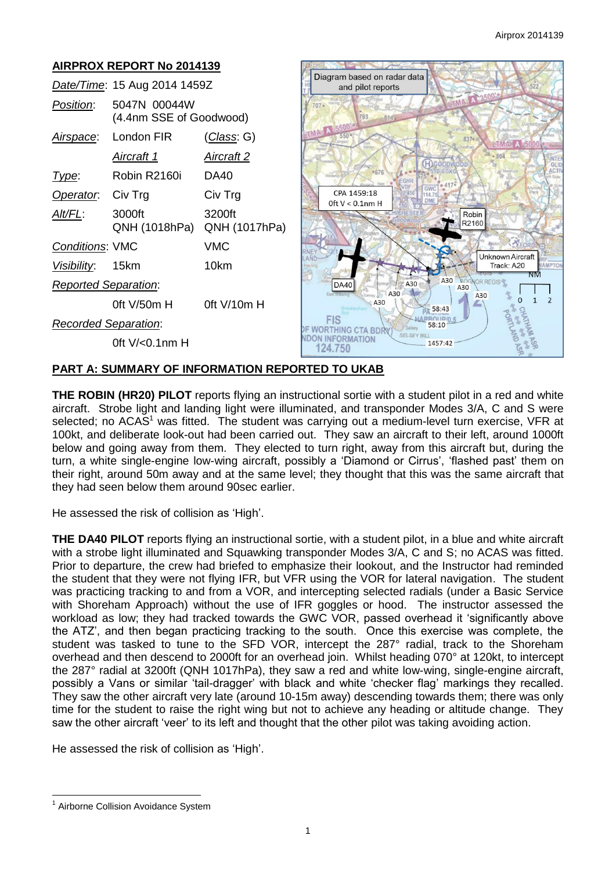#### **AIRPROX REPORT No 2014139** Diagram based on radar data *Date/Time*: 15 Aug 2014 1459Z and pilot reports *Position*: 5047N 00044W  $707 -$ (4.4nm SSE of Goodwood) *Airspace*: London FIR (*Class*: G) *Aircraft 1 Aircraft 2* H *Type*: Robin R2160i DA40 **Operator:** Civ Trg Civ Trg  $CPA$  1459.18 Oft  $V < 0.1$ nm H *Alt/FL*: 3000ft 3200ft Robir R2160 QNH (1018hPa) QNH (1017hPa) *Conditions*: VMC VMC Unknown Aircraft *Visibility*: 15km 10km Track: A20 A30 A30 *Reported Separation*: **DA40** A30 A30 A30  $\overline{O}$  $\overline{2}$  $\overline{1}$ A30 0ft V/50m H 0ft V/10m H 58:43 ę **FIS** *Recorded Separation*: **PRODUCED**<br>**DE WORTHING CTA BDRY** 58:10 **NDON INFORMATION** 0ft V/<0.1nm H 1457:42 124,750

# **PART A: SUMMARY OF INFORMATION REPORTED TO UKAB**

**THE ROBIN (HR20) PILOT** reports flying an instructional sortie with a student pilot in a red and white aircraft. Strobe light and landing light were illuminated, and transponder Modes 3/A, C and S were selected; no ACAS<sup>1</sup> was fitted. The student was carrying out a medium-level turn exercise, VFR at 100kt, and deliberate look-out had been carried out. They saw an aircraft to their left, around 1000ft below and going away from them. They elected to turn right, away from this aircraft but, during the turn, a white single-engine low-wing aircraft, possibly a 'Diamond or Cirrus', 'flashed past' them on their right, around 50m away and at the same level; they thought that this was the same aircraft that they had seen below them around 90sec earlier.

He assessed the risk of collision as 'High'.

**THE DA40 PILOT** reports flying an instructional sortie, with a student pilot, in a blue and white aircraft with a strobe light illuminated and Squawking transponder Modes 3/A, C and S; no ACAS was fitted. Prior to departure, the crew had briefed to emphasize their lookout, and the Instructor had reminded the student that they were not flying IFR, but VFR using the VOR for lateral navigation. The student was practicing tracking to and from a VOR, and intercepting selected radials (under a Basic Service with Shoreham Approach) without the use of IFR goggles or hood. The instructor assessed the workload as low; they had tracked towards the GWC VOR, passed overhead it 'significantly above the ATZ', and then began practicing tracking to the south. Once this exercise was complete, the student was tasked to tune to the SFD VOR, intercept the 287° radial, track to the Shoreham overhead and then descend to 2000ft for an overhead join. Whilst heading 070° at 120kt, to intercept the 287° radial at 3200ft (QNH 1017hPa), they saw a red and white low-wing, single-engine aircraft, possibly a Vans or similar 'tail-dragger' with black and white 'checker flag' markings they recalled. They saw the other aircraft very late (around 10-15m away) descending towards them; there was only time for the student to raise the right wing but not to achieve any heading or altitude change. They saw the other aircraft 'veer' to its left and thought that the other pilot was taking avoiding action.

He assessed the risk of collision as 'High'.

 $\overline{a}$ <sup>1</sup> Airborne Collision Avoidance System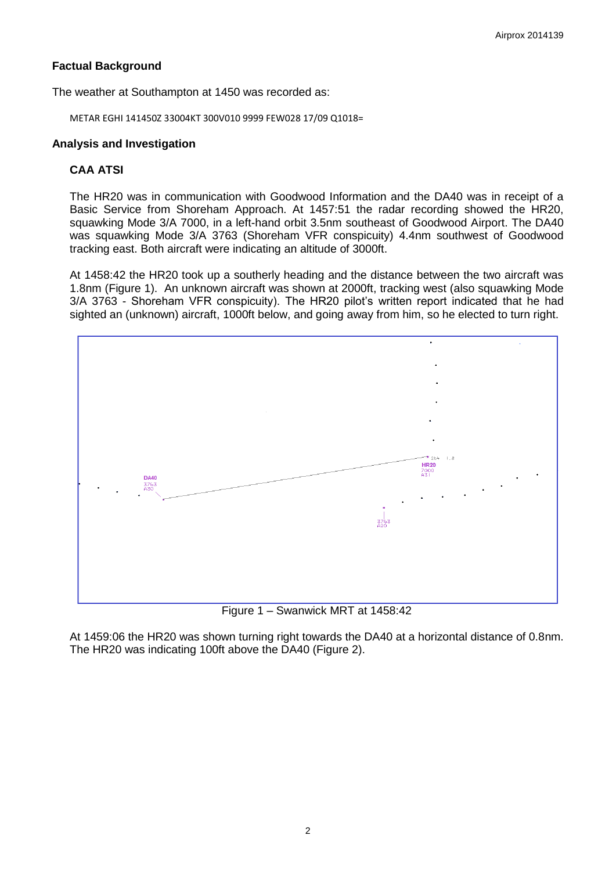# **Factual Background**

The weather at Southampton at 1450 was recorded as:

METAR EGHI 141450Z 33004KT 300V010 9999 FEW028 17/09 Q1018=

## **Analysis and Investigation**

# **CAA ATSI**

The HR20 was in communication with Goodwood Information and the DA40 was in receipt of a Basic Service from Shoreham Approach. At 1457:51 the radar recording showed the HR20, squawking Mode 3/A 7000, in a left-hand orbit 3.5nm southeast of Goodwood Airport. The DA40 was squawking Mode 3/A 3763 (Shoreham VFR conspicuity) 4.4nm southwest of Goodwood tracking east. Both aircraft were indicating an altitude of 3000ft.

At 1458:42 the HR20 took up a southerly heading and the distance between the two aircraft was 1.8nm (Figure 1). An unknown aircraft was shown at 2000ft, tracking west (also squawking Mode 3/A 3763 - Shoreham VFR conspicuity). The HR20 pilot's written report indicated that he had sighted an (unknown) aircraft, 1000ft below, and going away from him, so he elected to turn right.



Figure 1 – Swanwick MRT at 1458:42

At 1459:06 the HR20 was shown turning right towards the DA40 at a horizontal distance of 0.8nm. The HR20 was indicating 100ft above the DA40 (Figure 2).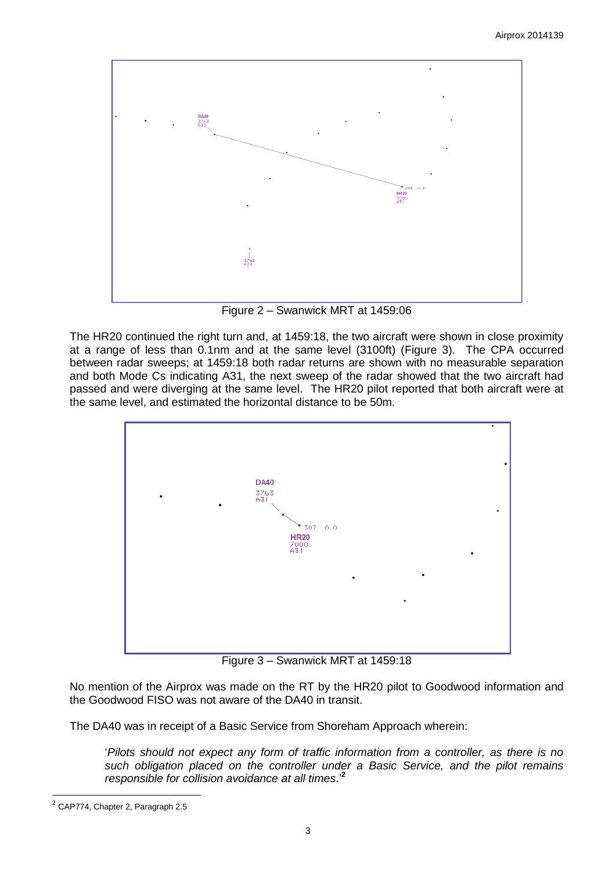

Figure 2 – Swanwick MRT at 1459:06

The HR20 continued the right turn and, at 1459:18, the two aircraft were shown in close proximity at a range of less than 0.1nm and at the same level (3100ft) (Figure 3). The CPA occurred between radar sweeps; at 1459:18 both radar returns are shown with no measurable separation and both Mode Cs indicating A31, the next sweep of the radar showed that the two aircraft had passed and were diverging at the same level. The HR20 pilot reported that both aircraft were at the same level, and estimated the horizontal distance to be 50m.



Figure 3 – Swanwick MRT at 1459:18

No mention of the Airprox was made on the RT by the HR20 pilot to Goodwood information and the Goodwood FISO was not aware of the DA40 in transit.

The DA40 was in receipt of a Basic Service from Shoreham Approach wherein:

'*Pilots should not expect any form of traffic information from a controller, as there is no such obligation placed on the controller under a Basic Service, and the pilot remains responsible for collision avoidance at all times*.'**<sup>2</sup>**

<sup>&</sup>lt;u>.</u><br><sup>2</sup> CAP774, Chapter 2, Paragraph 2.5